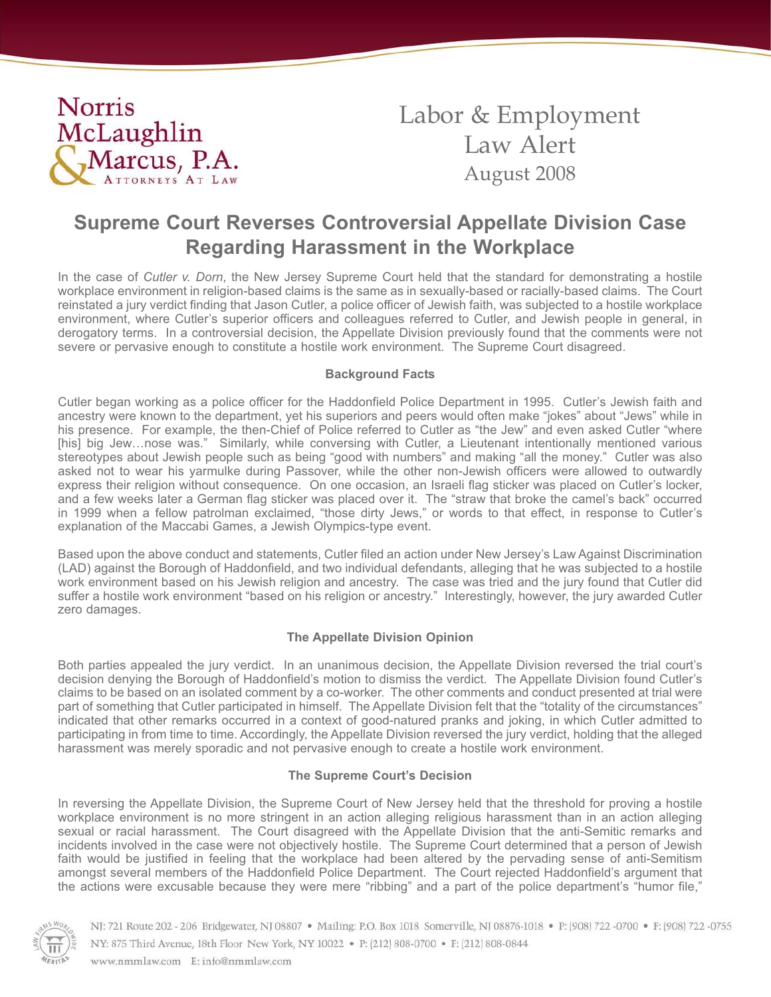

Labor & Employment Law Alert August 2008

# **Supreme Court Reverses Controversial Appellate Division Case Regarding Harassment in the Workplace**

In the case of *Cutler v. Dorn*, the New Jersey Supreme Court held that the standard for demonstrating a hostile workplace environment in religion-based claims is the same as in sexually-based or racially-based claims. The Court reinstated a jury verdict finding that Jason Cutler, a police officer of Jewish faith, was subjected to a hostile workplace environment, where Cutler's superior officers and colleagues referred to Cutler, and Jewish people in general, in derogatory terms. In a controversial decision, the Appellate Division previously found that the comments were not severe or pervasive enough to constitute a hostile work environment. The Supreme Court disagreed.

#### **Background Facts**

Cutler began working as a police officer for the Haddonfield Police Department in 1995. Cutler's Jewish faith and ancestry were known to the department, yet his superiors and peers would often make "jokes" about "Jews" while in his presence. For example, the then-Chief of Police referred to Cutler as "the Jew" and even asked Cutler "where [his] big Jew…nose was." Similarly, while conversing with Cutler, a Lieutenant intentionally mentioned various stereotypes about Jewish people such as being "good with numbers" and making "all the money." Cutler was also asked not to wear his yarmulke during Passover, while the other non-Jewish officers were allowed to outwardly express their religion without consequence. On one occasion, an Israeli flag sticker was placed on Cutler's locker, and a few weeks later a German flag sticker was placed over it. The "straw that broke the camel's back" occurred in 1999 when a fellow patrolman exclaimed, "those dirty Jews," or words to that effect, in response to Cutler's explanation of the Maccabi Games, a Jewish Olympics-type event.

Based upon the above conduct and statements, Cutler filed an action under New Jersey's Law Against Discrimination (LAD) against the Borough of Haddonfield, and two individual defendants, alleging that he was subjected to a hostile work environment based on his Jewish religion and ancestry. The case was tried and the jury found that Cutler did suffer a hostile work environment "based on his religion or ancestry." Interestingly, however, the jury awarded Cutler zero damages.

## **The Appellate Division Opinion**

Both parties appealed the jury verdict. In an unanimous decision, the Appellate Division reversed the trial court's decision denying the Borough of Haddonfield's motion to dismiss the verdict. The Appellate Division found Cutler's claims to be based on an isolated comment by a co-worker. The other comments and conduct presented at trial were part of something that Cutler participated in himself. The Appellate Division felt that the "totality of the circumstances" indicated that other remarks occurred in a context of good-natured pranks and joking, in which Cutler admitted to participating in from time to time. Accordingly, the Appellate Division reversed the jury verdict, holding that the alleged harassment was merely sporadic and not pervasive enough to create a hostile work environment.

## **The Supreme Court's Decision**

In reversing the Appellate Division, the Supreme Court of New Jersey held that the threshold for proving a hostile workplace environment is no more stringent in an action alleging religious harassment than in an action alleging sexual or racial harassment. The Court disagreed with the Appellate Division that the anti-Semitic remarks and incidents involved in the case were not objectively hostile. The Supreme Court determined that a person of Jewish faith would be justified in feeling that the workplace had been altered by the pervading sense of anti-Semitism amongst several members of the Haddonfield Police Department. The Court rejected Haddonfield's argument that the actions were excusable because they were mere "ribbing" and a part of the police department's "humor file,"



NJ: 721 Route 202 - 206 Bridgewater, NJ 08807 · Mailing: P.O. Box 1018 Somerville, NJ 08876-1018 · P: (908) 722-0700 · F: (908) 722-0755 NY: 875 Third Avenue, 18th Floor New York, NY 10022 • P: (212) 808-0700 • F: (212) 808-0844